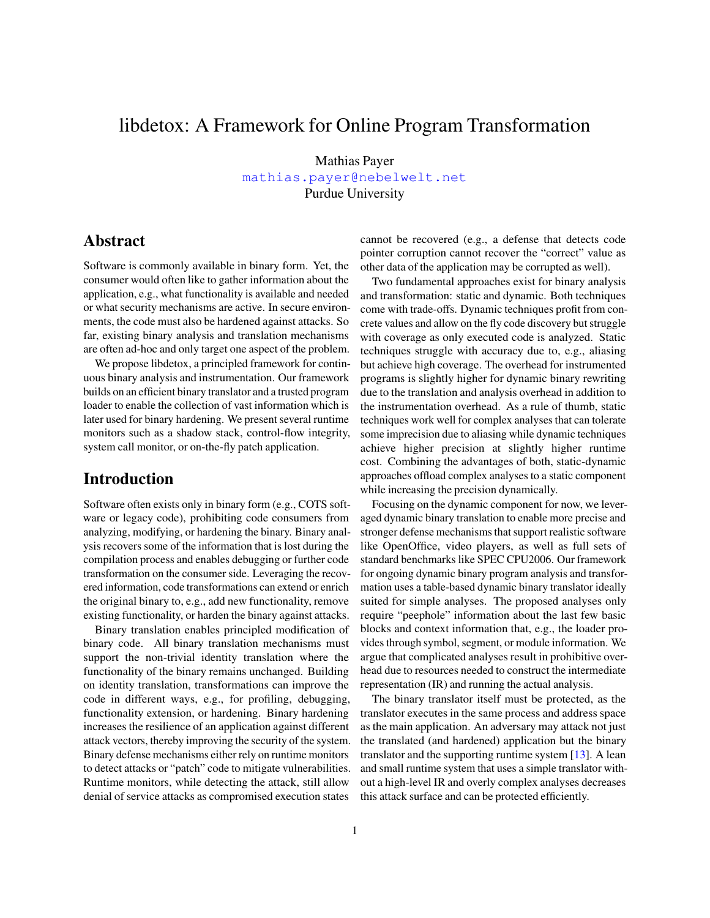# libdetox: A Framework for Online Program Transformation

Mathias Payer <mathias.payer@nebelwelt.net> Purdue University

# Abstract

Software is commonly available in binary form. Yet, the consumer would often like to gather information about the application, e.g., what functionality is available and needed or what security mechanisms are active. In secure environments, the code must also be hardened against attacks. So far, existing binary analysis and translation mechanisms are often ad-hoc and only target one aspect of the problem.

We propose libdetox, a principled framework for continuous binary analysis and instrumentation. Our framework builds on an efficient binary translator and a trusted program loader to enable the collection of vast information which is later used for binary hardening. We present several runtime monitors such as a shadow stack, control-flow integrity, system call monitor, or on-the-fly patch application.

# Introduction

Software often exists only in binary form (e.g., COTS software or legacy code), prohibiting code consumers from analyzing, modifying, or hardening the binary. Binary analysis recovers some of the information that is lost during the compilation process and enables debugging or further code transformation on the consumer side. Leveraging the recovered information, code transformations can extend or enrich the original binary to, e.g., add new functionality, remove existing functionality, or harden the binary against attacks.

Binary translation enables principled modification of binary code. All binary translation mechanisms must support the non-trivial identity translation where the functionality of the binary remains unchanged. Building on identity translation, transformations can improve the code in different ways, e.g., for profiling, debugging, functionality extension, or hardening. Binary hardening increases the resilience of an application against different attack vectors, thereby improving the security of the system. Binary defense mechanisms either rely on runtime monitors to detect attacks or "patch" code to mitigate vulnerabilities. Runtime monitors, while detecting the attack, still allow denial of service attacks as compromised execution states cannot be recovered (e.g., a defense that detects code pointer corruption cannot recover the "correct" value as other data of the application may be corrupted as well).

Two fundamental approaches exist for binary analysis and transformation: static and dynamic. Both techniques come with trade-offs. Dynamic techniques profit from concrete values and allow on the fly code discovery but struggle with coverage as only executed code is analyzed. Static techniques struggle with accuracy due to, e.g., aliasing but achieve high coverage. The overhead for instrumented programs is slightly higher for dynamic binary rewriting due to the translation and analysis overhead in addition to the instrumentation overhead. As a rule of thumb, static techniques work well for complex analyses that can tolerate some imprecision due to aliasing while dynamic techniques achieve higher precision at slightly higher runtime cost. Combining the advantages of both, static-dynamic approaches offload complex analyses to a static component while increasing the precision dynamically.

Focusing on the dynamic component for now, we leveraged dynamic binary translation to enable more precise and stronger defense mechanisms that support realistic software like OpenOffice, video players, as well as full sets of standard benchmarks like SPEC CPU2006. Our framework for ongoing dynamic binary program analysis and transformation uses a table-based dynamic binary translator ideally suited for simple analyses. The proposed analyses only require "peephole" information about the last few basic blocks and context information that, e.g., the loader provides through symbol, segment, or module information. We argue that complicated analyses result in prohibitive overhead due to resources needed to construct the intermediate representation (IR) and running the actual analysis.

The binary translator itself must be protected, as the translator executes in the same process and address space as the main application. An adversary may attack not just the translated (and hardened) application but the binary translator and the supporting runtime system [\[13\]](#page-2-0). A lean and small runtime system that uses a simple translator without a high-level IR and overly complex analyses decreases this attack surface and can be protected efficiently.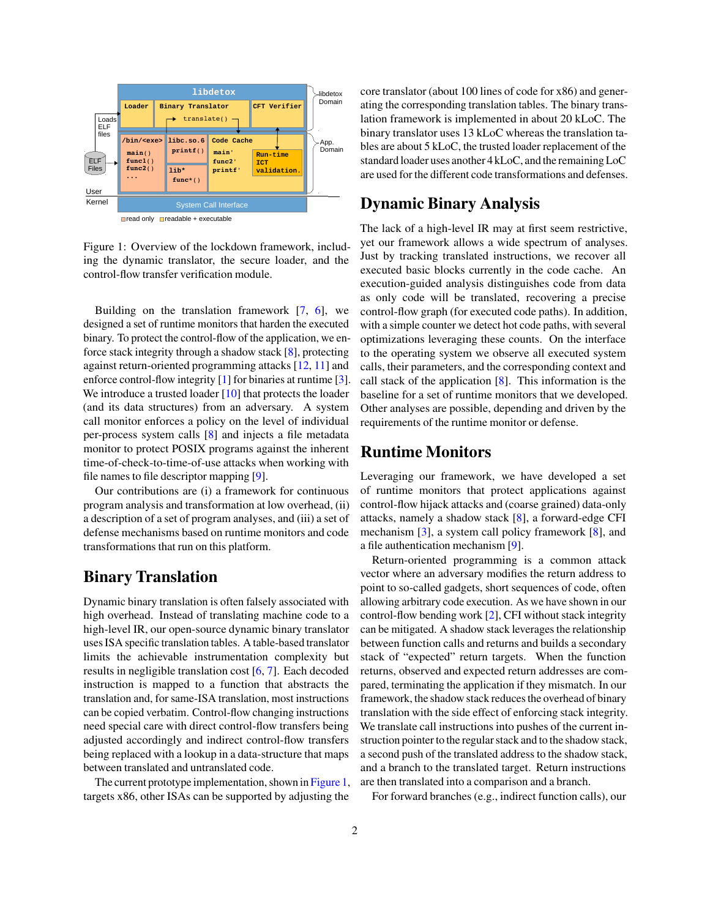

<span id="page-1-0"></span>

Figure 1: Overview of the lockdown framework, including the dynamic translator, the secure loader, and the control-flow transfer verification module.

Building on the translation framework  $[7, 6]$  $[7, 6]$  $[7, 6]$ , we designed a set of runtime monitors that harden the executed binary. To protect the control-flow of the application, we enforce stack integrity through a shadow stack [\[8\]](#page-2-3), protecting against return-oriented programming attacks [\[12,](#page-2-4) [11\]](#page-2-5) and enforce control-flow integrity [\[1\]](#page-2-6) for binaries at runtime [\[3\]](#page-2-7). We introduce a trusted loader [\[10\]](#page-2-8) that protects the loader (and its data structures) from an adversary. A system call monitor enforces a policy on the level of individual per-process system calls [\[8\]](#page-2-3) and injects a file metadata monitor to protect POSIX programs against the inherent time-of-check-to-time-of-use attacks when working with file names to file descriptor mapping [\[9\]](#page-2-9).

Our contributions are (i) a framework for continuous program analysis and transformation at low overhead, (ii) a description of a set of program analyses, and (iii) a set of defense mechanisms based on runtime monitors and code transformations that run on this platform.

#### Binary Translation

Dynamic binary translation is often falsely associated with high overhead. Instead of translating machine code to a high-level IR, our open-source dynamic binary translator uses ISA specific translation tables. A table-based translator limits the achievable instrumentation complexity but results in negligible translation cost [\[6,](#page-2-2) [7\]](#page-2-1). Each decoded instruction is mapped to a function that abstracts the translation and, for same-ISA translation, most instructions can be copied verbatim. Control-flow changing instructions need special care with direct control-flow transfers being adjusted accordingly and indirect control-flow transfers being replaced with a lookup in a data-structure that maps between translated and untranslated code.

The current prototype implementation, shown in [Figure 1,](#page-1-0) targets x86, other ISAs can be supported by adjusting the core translator (about 100 lines of code for x86) and generating the corresponding translation tables. The binary translation framework is implemented in about 20 kLoC. The binary translator uses 13 kLoC whereas the translation tables are about 5 kLoC, the trusted loader replacement of the standard loader uses another 4 kLoC, and the remaining LoC are used for the different code transformations and defenses.

# Dynamic Binary Analysis

The lack of a high-level IR may at first seem restrictive, yet our framework allows a wide spectrum of analyses. Just by tracking translated instructions, we recover all executed basic blocks currently in the code cache. An execution-guided analysis distinguishes code from data as only code will be translated, recovering a precise control-flow graph (for executed code paths). In addition, with a simple counter we detect hot code paths, with several optimizations leveraging these counts. On the interface to the operating system we observe all executed system calls, their parameters, and the corresponding context and call stack of the application  $[8]$ . This information is the baseline for a set of runtime monitors that we developed. Other analyses are possible, depending and driven by the requirements of the runtime monitor or defense.

#### Runtime Monitors

Leveraging our framework, we have developed a set of runtime monitors that protect applications against control-flow hijack attacks and (coarse grained) data-only attacks, namely a shadow stack [\[8\]](#page-2-3), a forward-edge CFI mechanism [\[3\]](#page-2-7), a system call policy framework [\[8\]](#page-2-3), and a file authentication mechanism [\[9\]](#page-2-9).

Return-oriented programming is a common attack vector where an adversary modifies the return address to point to so-called gadgets, short sequences of code, often allowing arbitrary code execution. As we have shown in our control-flow bending work [\[2\]](#page-2-10), CFI without stack integrity can be mitigated. A shadow stack leverages the relationship between function calls and returns and builds a secondary stack of "expected" return targets. When the function returns, observed and expected return addresses are compared, terminating the application if they mismatch. In our framework, the shadow stack reduces the overhead of binary translation with the side effect of enforcing stack integrity. We translate call instructions into pushes of the current instruction pointer to the regular stack and to the shadow stack, a second push of the translated address to the shadow stack, and a branch to the translated target. Return instructions are then translated into a comparison and a branch.

For forward branches (e.g., indirect function calls), our